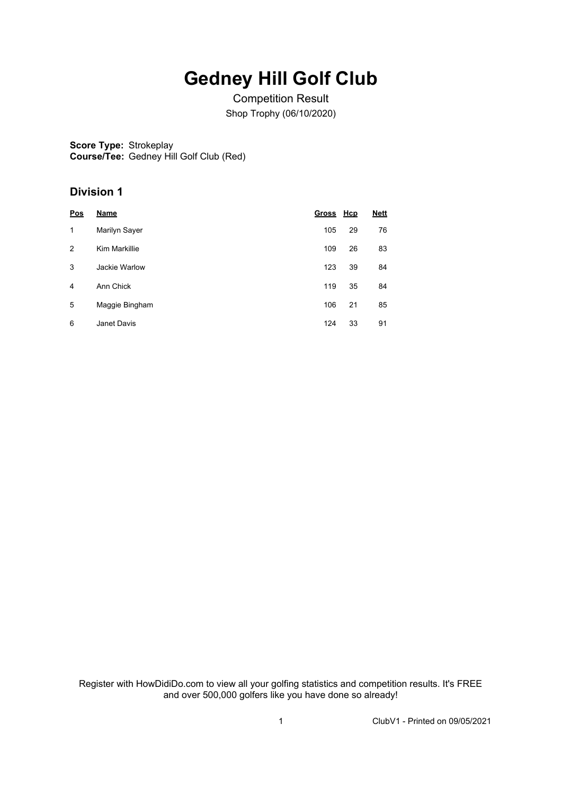## **Gedney Hill Golf Club**

Competition Result Shop Trophy (06/10/2020)

**Score Type:** Strokeplay **Course/Tee:** Gedney Hill Golf Club (Red)

## **Division 1**

| <u>Pos</u> | <b>Name</b>    | Gross Hcp |    | <b>Nett</b> |
|------------|----------------|-----------|----|-------------|
| 1          | Marilyn Sayer  | 105       | 29 | 76          |
| 2          | Kim Markillie  | 109       | 26 | 83          |
| 3          | Jackie Warlow  | 123       | 39 | 84          |
| 4          | Ann Chick      | 119       | 35 | 84          |
| 5          | Maggie Bingham | 106       | 21 | 85          |
| 6          | Janet Davis    | 124       | 33 | 91          |

Register with HowDidiDo.com to view all your golfing statistics and competition results. It's FREE and over 500,000 golfers like you have done so already!